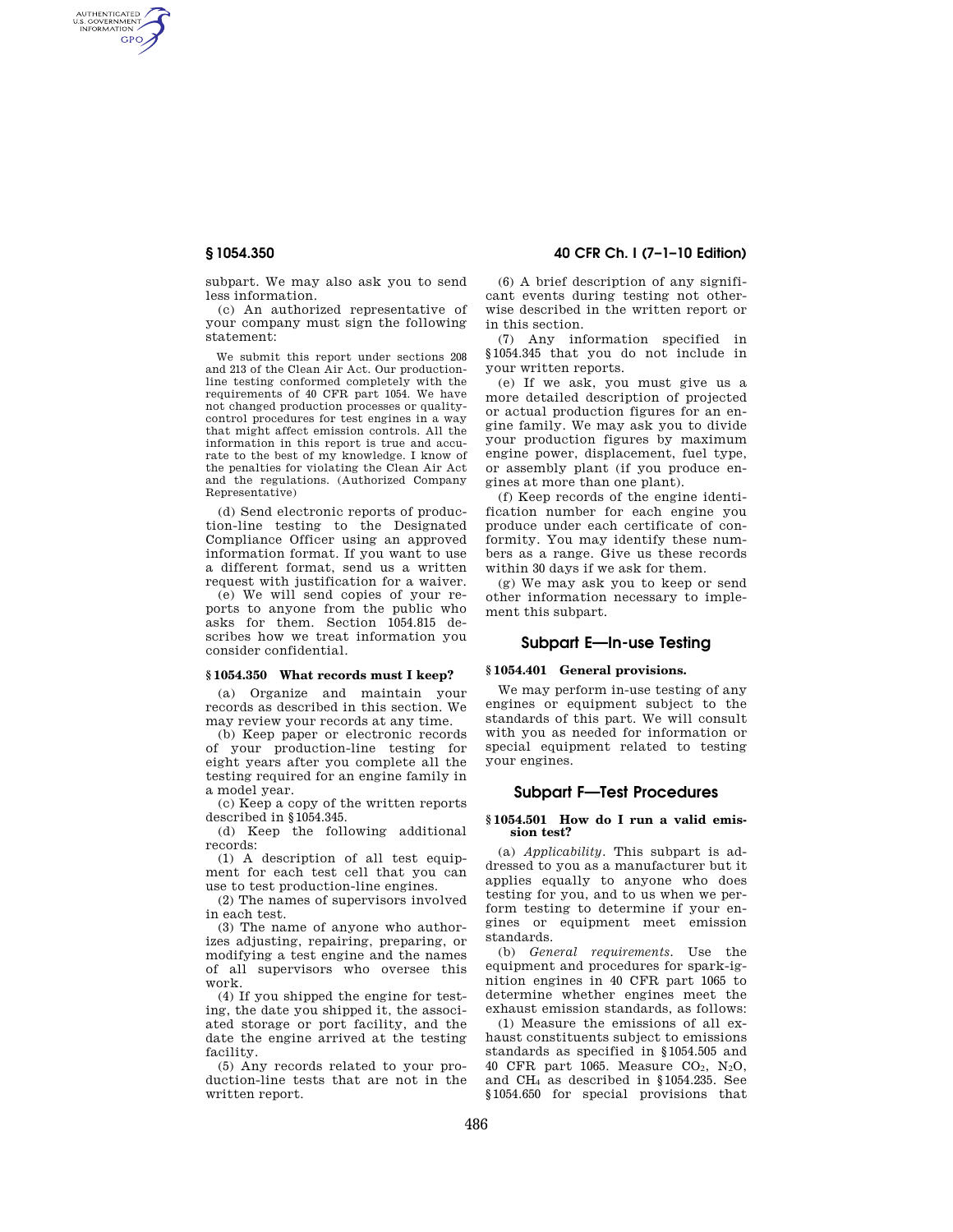AUTHENTICATED<br>U.S. GOVERNMENT<br>INFORMATION **GPO** 

> subpart. We may also ask you to send less information.

(c) An authorized representative of your company must sign the following statement:

We submit this report under sections 208 and 213 of the Clean Air Act. Our productionline testing conformed completely with the requirements of 40 CFR part 1054. We have not changed production processes or qualitycontrol procedures for test engines in a way that might affect emission controls. All the information in this report is true and accurate to the best of my knowledge. I know of the penalties for violating the Clean Air Act and the regulations. (Authorized Company Representative)

(d) Send electronic reports of production-line testing to the Designated Compliance Officer using an approved information format. If you want to use a different format, send us a written request with justification for a waiver.

(e) We will send copies of your reports to anyone from the public who asks for them. Section 1054.815 describes how we treat information you consider confidential.

## **§ 1054.350 What records must I keep?**

(a) Organize and maintain your records as described in this section. We may review your records at any time.

(b) Keep paper or electronic records of your production-line testing for eight years after you complete all the testing required for an engine family in a model year.

(c) Keep a copy of the written reports described in §1054.345.

(d) Keep the following additional records:

(1) A description of all test equipment for each test cell that you can use to test production-line engines.

(2) The names of supervisors involved in each test.

(3) The name of anyone who authorizes adjusting, repairing, preparing, or modifying a test engine and the names of all supervisors who oversee this work.

(4) If you shipped the engine for testing, the date you shipped it, the associated storage or port facility, and the date the engine arrived at the testing facility.

(5) Any records related to your production-line tests that are not in the written report.

## **§ 1054.350 40 CFR Ch. I (7–1–10 Edition)**

(6) A brief description of any significant events during testing not otherwise described in the written report or in this section.

(7) Any information specified in §1054.345 that you do not include in your written reports.

(e) If we ask, you must give us a more detailed description of projected or actual production figures for an engine family. We may ask you to divide your production figures by maximum engine power, displacement, fuel type, or assembly plant (if you produce engines at more than one plant).

(f) Keep records of the engine identification number for each engine you produce under each certificate of conformity. You may identify these numbers as a range. Give us these records within 30 days if we ask for them.

(g) We may ask you to keep or send other information necessary to implement this subpart.

# **Subpart E—In-use Testing**

#### **§ 1054.401 General provisions.**

We may perform in-use testing of any engines or equipment subject to the standards of this part. We will consult with you as needed for information or special equipment related to testing your engines.

#### **Subpart F—Test Procedures**

#### **§ 1054.501 How do I run a valid emission test?**

(a) *Applicability.* This subpart is addressed to you as a manufacturer but it applies equally to anyone who does testing for you, and to us when we perform testing to determine if your engines or equipment meet emission standards.

(b) *General requirements.* Use the equipment and procedures for spark-ignition engines in 40 CFR part 1065 to determine whether engines meet the exhaust emission standards, as follows:

(1) Measure the emissions of all exhaust constituents subject to emissions standards as specified in §1054.505 and 40 CFR part 1065. Measure  $CO<sub>2</sub>$ , N<sub>2</sub>O, and CH<sup>4</sup> as described in §1054.235. See §1054.650 for special provisions that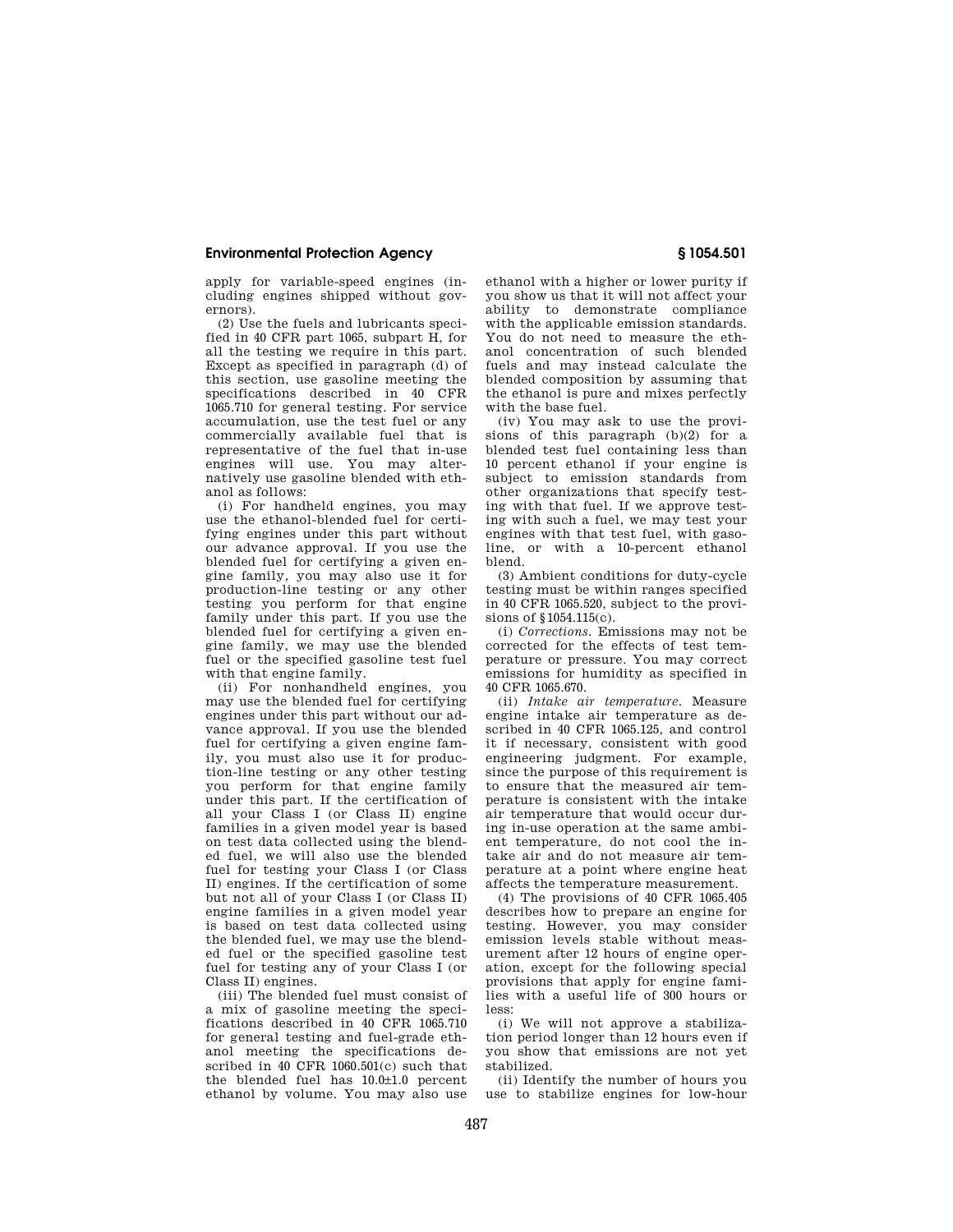## **Environmental Protection Agency § 1054.501**

apply for variable-speed engines (including engines shipped without governors).

(2) Use the fuels and lubricants specified in 40 CFR part 1065, subpart H, for all the testing we require in this part. Except as specified in paragraph (d) of this section, use gasoline meeting the specifications described in 40 CFR 1065.710 for general testing. For service accumulation, use the test fuel or any commercially available fuel that is representative of the fuel that in-use engines will use. You may alternatively use gasoline blended with ethanol as follows:

(i) For handheld engines, you may use the ethanol-blended fuel for certifying engines under this part without our advance approval. If you use the blended fuel for certifying a given engine family, you may also use it for production-line testing or any other testing you perform for that engine family under this part. If you use the blended fuel for certifying a given engine family, we may use the blended fuel or the specified gasoline test fuel with that engine family.

(ii) For nonhandheld engines, you may use the blended fuel for certifying engines under this part without our advance approval. If you use the blended fuel for certifying a given engine family, you must also use it for production-line testing or any other testing you perform for that engine family under this part. If the certification of all your Class I (or Class II) engine families in a given model year is based on test data collected using the blended fuel, we will also use the blended fuel for testing your Class I (or Class II) engines. If the certification of some but not all of your Class I (or Class II) engine families in a given model year is based on test data collected using the blended fuel, we may use the blended fuel or the specified gasoline test fuel for testing any of your Class I (or Class II) engines.

(iii) The blended fuel must consist of a mix of gasoline meeting the specifications described in 40 CFR 1065.710 for general testing and fuel-grade ethanol meeting the specifications described in 40 CFR 1060.501(c) such that the blended fuel has 10.0±1.0 percent ethanol by volume. You may also use

ethanol with a higher or lower purity if you show us that it will not affect your ability to demonstrate compliance with the applicable emission standards. You do not need to measure the ethanol concentration of such blended fuels and may instead calculate the blended composition by assuming that the ethanol is pure and mixes perfectly with the base fuel.

(iv) You may ask to use the provisions of this paragraph (b)(2) for a blended test fuel containing less than 10 percent ethanol if your engine is subject to emission standards from other organizations that specify testing with that fuel. If we approve testing with such a fuel, we may test your engines with that test fuel, with gasoline, or with a 10-percent ethanol blend.

(3) Ambient conditions for duty-cycle testing must be within ranges specified in 40 CFR 1065.520, subject to the provisions of  $$1054,115(c)$ .

(i) *Corrections.* Emissions may not be corrected for the effects of test temperature or pressure. You may correct emissions for humidity as specified in 40 CFR 1065.670.

(ii) *Intake air temperature.* Measure engine intake air temperature as described in 40 CFR 1065.125, and control it if necessary, consistent with good engineering judgment. For example, since the purpose of this requirement is to ensure that the measured air temperature is consistent with the intake air temperature that would occur during in-use operation at the same ambient temperature, do not cool the intake air and do not measure air temperature at a point where engine heat affects the temperature measurement.

(4) The provisions of 40 CFR 1065.405 describes how to prepare an engine for testing. However, you may consider emission levels stable without measurement after 12 hours of engine operation, except for the following special provisions that apply for engine families with a useful life of 300 hours or less:

(i) We will not approve a stabilization period longer than 12 hours even if you show that emissions are not yet stabilized.

(ii) Identify the number of hours you use to stabilize engines for low-hour